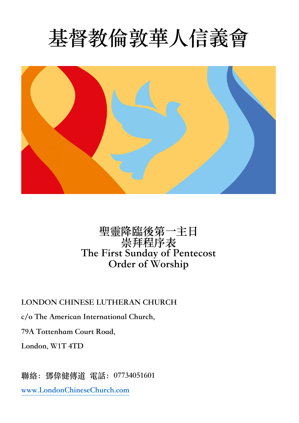



## **聖靈降臨後第⼀主⽇ 崇拜程序表 The First Sunday of Pentecost Order of Worship**

**LONDON CHINESE LUTHERAN CHURCH**

**c/o The American International Church,**

**79A Tottenham Court Road,**

**London, W1T 4TD**

**聯絡:鄧偉健傳道 電話:07734051601 www.LondonChineseChurch.com**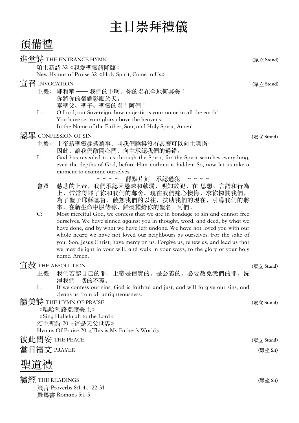## **主⽇崇拜禮儀**

預備禮

| 進堂詩 THE ENTRANCE HYMN<br>頌主新詩 32《親愛聖靈請降臨》 |                                                                                                                                                                                               | (眾立 Stand) |
|-------------------------------------------|-----------------------------------------------------------------------------------------------------------------------------------------------------------------------------------------------|------------|
|                                           | New Hymns of Praise 32 «Holy Spirit, Come to Us»                                                                                                                                              |            |
| 宣召 INVOCATION                             |                                                                                                                                                                                               |            |
|                                           | 主禮: 耶和華 —— 我們的主啊, 你的名在全地何其美!<br>你將你的榮耀彰顯於天。<br>奉聖父、聖子、聖靈的名!阿們!                                                                                                                                |            |
| L:                                        | O Lord, our Sovereign, how majestic is your name in all the earth!<br>You have set your glory above the heavens.<br>In the Name of the Father, Son, and Holy Spirit, Amen!                    |            |
|                                           | 認罪 CONFESSION OF SIN                                                                                                                                                                          | (眾立 Stand) |
| 主禮:                                       | 上帝藉聖靈參透萬事, 叫我們曉得沒有甚麼可以向主隱瞞;<br>因此,讓我們敞開心門,向主承認我們的過錯。                                                                                                                                          |            |
| L:                                        | God has revealed to us through the Spirit, for the Spirit searches everything,<br>even the depths of God, before Him nothing is hidden. So, now let us take a<br>moment to examine ourselves. |            |
| 會眾:                                       | ~~~~ 靜默片刻 承認過犯<br>$\sim$ $\sim$ $\sim$ $\sim$<br>慈悲的上帝,我們承認因愚昧和軟弱,明知故犯,在 思想、言語和行為<br>上,常常得罪了祢和我們的鄰舍。現在我們痛心懊悔,求祢憐憫我們,<br>為了聖子耶穌基督, 饒恕我們的以往, 扶助我們的現在, 引導我們的將<br>來, 在新生命中服侍祢, 歸榮耀給祢的聖名。阿們。       |            |
| C:                                        | Most merciful God, we confess that we are in bondage to sin and cannot free                                                                                                                   |            |
|                                           | ourselves. We have sinned against you in thought, word, and deed, by what we<br>have done, and by what we have left undone. We have not loved you with our                                    |            |
|                                           | whole heart; we have not loved our neighbours as ourselves. For the sake of                                                                                                                   |            |
|                                           | your Son, Jesus Christ, have mercy on us. Forgive us, renew us, and lead us that                                                                                                              |            |
|                                           | we may delight in your will, and walk in your ways, to the glory of your holy<br>name. Amen.                                                                                                  |            |
| <b>盲赦 THE ABSOLUTION</b>                  |                                                                                                                                                                                               |            |
|                                           | 主禮: 我們若認自己的罪, 上帝是信實的, 是公義的, 必要赦免我們的罪,<br>洗<br>淨我們一切的不義。                                                                                                                                       | (眾立 Stand) |
| L:                                        | If we confess our sins, God is faithful and just, and will forgive our sins, and<br>cleans us from all unrighteousness.                                                                       |            |
| 讚美詩 THE HYMN OF PRAISE                    |                                                                                                                                                                                               |            |
|                                           | 《唱哈利路亞讚美主》                                                                                                                                                                                    |            |
|                                           | «Sing Hallelujah to the Lord»<br>頌主聖詩 20《這是天父世界》                                                                                                                                              |            |
|                                           | Hymns Of Praise 20 «This is My Father's World»                                                                                                                                                |            |
| 彼此問安 THE PEACE                            |                                                                                                                                                                                               | (眾立 Stand) |
| 當日禱文 PRAYER                               |                                                                                                                                                                                               | (眾坐 Sit)   |
|                                           |                                                                                                                                                                                               |            |
| 聖道禮                                       |                                                                                                                                                                                               |            |
| 讀經 THE READINGS                           |                                                                                                                                                                                               |            |
| 箴言 Proverbs 8:1-4、22-31                   |                                                                                                                                                                                               |            |
|                                           | 羅馬書 Romans 5:1-5                                                                                                                                                                              |            |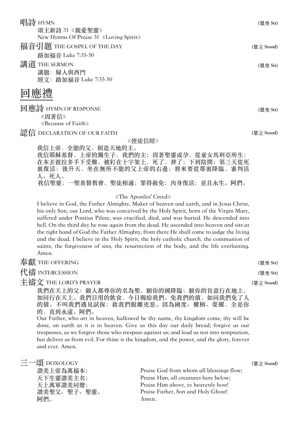唱詩 HYMN **(眾坐 Sit)** 頌主新詩 31《親愛聖靈》 New Hymns Of Praise 31《Loving Spirit》 福音引題 THE GOSPEL OF THE DAY  $(\mathbb{R} \times \mathbb{R})$  (with  $(\mathbb{R} \times \mathbb{R})$  stand)

路加福音 Luke 7:35-50 **講道** THE SERMON (眾坐 Sit)

講題: 婦人與西門 經文: 路加福音 Luke 7:35-50

回應禮

回應詩 HYMN OF RESPONSE **(眾坐 Sit)**

《因著信》 《Because of Faith》

**認信 DECLARATION OF OUR FAITH** (眾立 Stand)

《使徒信經》

我信上帝,全能的父, 創造天地的主。 我信耶穌基督,上帝的獨生子,我們的主;因著聖靈成孕,從童女馬利亞所生; 在本丟彼拉多手下受難,被釘在十字架上,死了,葬了;下到陰間;第三天從死 裏復活;後升天,坐在無所不能的父上帝的右邊;將來要從那裏降臨,審判活 ⼈、死⼈。 我信聖靈;一聖基督教會, 聖徒相通; 罪得赦免; 肉身復活; 並且永生。阿們。

《The Apostles' Creed》

I believe in God, the Father Almighty, Maker of heaven and earth, and in Jesus Christ, his only Son, our Lord, who was conceived by the Holy Spirit, born of the Virgin Mary, suffered under Pontius Pilate, was crucified, died, and was buried. He descended into hell. On the third day he rose again from the dead. He ascended into heaven and sits at the right hand of God the Father Almighty, from there He shall come to judge the living and the dead. I believe in the Holy Spirit, the holy catholic church, the communion of saints, the forgiveness of sins, the resurrection of the body, and the life everlasting. Amen.

| 奉獻 THE OFFERING                       | (眾坐 Sit)   |
|---------------------------------------|------------|
| 代禱 INTERCESSION                       | (眾坐 Sit)   |
| 主禱文 THE LORD'S PRAYER                 | (眾立 Stand) |
| 我們在天上的父: 願人都尊你的名為聖。願你的國降臨; 願你的旨意行在地上, |            |
| 如同行在天上。我們日用的飲食,今日賜給我們。免我們的債,如同我們免了人   |            |
| 的債。不叫我們遇見試探; 救我們脫離兇惡。因為國度、權柄、榮耀, 全是你  |            |

的,直到永遠。阿們。

Our Father, who art in heaven, hallowed be thy name, thy kingdom come, thy will be done, on earth as it is in heaven. Give us this day our daily bread; forgive us our trespasses, as we forgive those who trespass against us; and lead us not into temptation, but deliver us from evil. For thine is the kingdom, and the power, and the glory, forever and ever. Amen.

| 三一頌 DOXOLOGY |                                          | (眾立 Stand) |
|--------------|------------------------------------------|------------|
| 讚美上帝為萬福本;    | Praise God from whom all blessings flow; |            |
| 天下生靈讚美主名;    | Praise Him, all creatures here below;    |            |
| 天上萬軍讚美同聲;    | Praise Him above, ye heavenly host!      |            |
| 讚美聖父、聖子、聖靈。  | Praise Father, Son and Holy Ghost!       |            |
| 阿們。          | Amen.                                    |            |